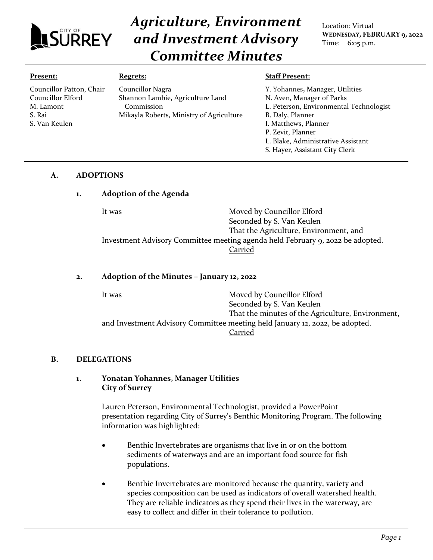

Councillor Patton, Chair Councillor Elford M. Lamont S. Rai

# *Agriculture, Environment and Investment Advisory Committee Minutes*

Location: Virtual **WEDNESDAY, FEBRUARY 9, 2022** Time: 6:05 p.m.

#### **Present:**

S. Van Keulen

#### **Regrets:**

Councillor Nagra Shannon Lambie, Agriculture Land Commission Mikayla Roberts, Ministry of Agriculture

#### **Staff Present:**

Y. Yohannes**,** Manager, Utilities N. Aven, Manager of Parks L. Peterson, Environmental Technologist B. Daly, Planner I. Matthews, Planner P. Zevit, Planner L. Blake, Administrative Assistant S. Hayer, Assistant City Clerk

#### **A. ADOPTIONS**

## **1. Adoption of the Agenda**

It was **Moved by Councillor Elford** Seconded by S. Van Keulen That the Agriculture, Environment, and Investment Advisory Committee meeting agenda held February 9, 2022 be adopted. Carried

## **2. Adoption of the Minutes – January 12, 2022**

It was Moved by Councillor Elford Seconded by S. Van Keulen That the minutes of the Agriculture, Environment, and Investment Advisory Committee meeting held January 12, 2022, be adopted. Carried

## **B. DELEGATIONS**

## **1. Yonatan Yohannes, Manager Utilities City of Surrey**

Lauren Peterson, Environmental Technologist, provided a PowerPoint presentation regarding City of Surrey's Benthic Monitoring Program. The following information was highlighted:

- Benthic Invertebrates are organisms that live in or on the bottom sediments of waterways and are an important food source for fish populations.
- Benthic Invertebrates are monitored because the quantity, variety and species composition can be used as indicators of overall watershed health. They are reliable indicators as they spend their lives in the waterway, are easy to collect and differ in their tolerance to pollution.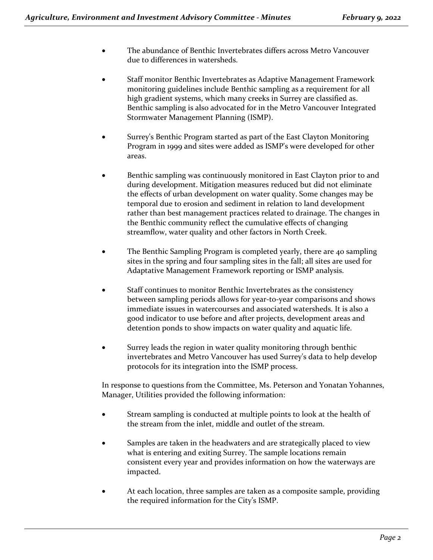- The abundance of Benthic Invertebrates differs across Metro Vancouver due to differences in watersheds.
- Staff monitor Benthic Invertebrates as Adaptive Management Framework monitoring guidelines include Benthic sampling as a requirement for all high gradient systems, which many creeks in Surrey are classified as. Benthic sampling is also advocated for in the Metro Vancouver Integrated Stormwater Management Planning (ISMP).
- Surrey's Benthic Program started as part of the East Clayton Monitoring Program in 1999 and sites were added as ISMP's were developed for other areas.
- Benthic sampling was continuously monitored in East Clayton prior to and during development. Mitigation measures reduced but did not eliminate the effects of urban development on water quality. Some changes may be temporal due to erosion and sediment in relation to land development rather than best management practices related to drainage. The changes in the Benthic community reflect the cumulative effects of changing streamflow, water quality and other factors in North Creek.
- The Benthic Sampling Program is completed yearly, there are 40 sampling sites in the spring and four sampling sites in the fall; all sites are used for Adaptative Management Framework reporting or ISMP analysis.
- Staff continues to monitor Benthic Invertebrates as the consistency between sampling periods allows for year-to-year comparisons and shows immediate issues in watercourses and associated watersheds. It is also a good indicator to use before and after projects, development areas and detention ponds to show impacts on water quality and aquatic life.
- Surrey leads the region in water quality monitoring through benthic invertebrates and Metro Vancouver has used Surrey's data to help develop protocols for its integration into the ISMP process.

In response to questions from the Committee, Ms. Peterson and Yonatan Yohannes, Manager, Utilities provided the following information:

- Stream sampling is conducted at multiple points to look at the health of the stream from the inlet, middle and outlet of the stream.
- Samples are taken in the headwaters and are strategically placed to view what is entering and exiting Surrey. The sample locations remain consistent every year and provides information on how the waterways are impacted.
- At each location, three samples are taken as a composite sample, providing the required information for the City's ISMP.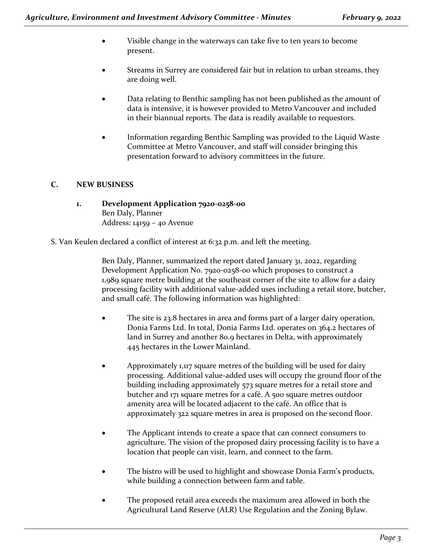- Visible change in the waterways can take five to ten years to become present.
- Streams in Surrey are considered fair but in relation to urban streams, they are doing well.
- Data relating to Benthic sampling has not been published as the amount of data is intensive, it is however provided to Metro Vancouver and included in their biannual reports. The data is readily available to requestors.
- Information regarding Benthic Sampling was provided to the Liquid Waste Committee at Metro Vancouver, and staff will consider bringing this presentation forward to advisory committees in the future.

## **C. NEW BUSINESS**

- **1. Development Application 7920-0258-00** Ben Daly, Planner Address: 14159 – 40 Avenue
- S. Van Keulen declared a conflict of interest at 6:32 p.m. and left the meeting.

Ben Daly, Planner, summarized the report dated January 31, 2022, regarding Development Application No. 7920-0258-00 which proposes to construct a 1,989 square metre building at the southeast corner of the site to allow for a dairy processing facility with additional value-added uses including a retail store, butcher, and small café. The following information was highlighted:

- The site is 23.8 hectares in area and forms part of a larger dairy operation, Donia Farms Ltd. In total, Donia Farms Ltd. operates on 364.2 hectares of land in Surrey and another 80.9 hectares in Delta, with approximately 445 hectares in the Lower Mainland.
- Approximately 1,117 square metres of the building will be used for dairy processing. Additional value-added uses will occupy the ground floor of the building including approximately 573 square metres for a retail store and butcher and 171 square metres for a café. A 500 square metres outdoor amenity area will be located adjacent to the café. An office that is approximately 322 square metres in area is proposed on the second floor.
- The Applicant intends to create a space that can connect consumers to agriculture. The vision of the proposed dairy processing facility is to have a location that people can visit, learn, and connect to the farm.
- The bistro will be used to highlight and showcase Donia Farm's products, while building a connection between farm and table.
- The proposed retail area exceeds the maximum area allowed in both the Agricultural Land Reserve (ALR) Use Regulation and the Zoning Bylaw.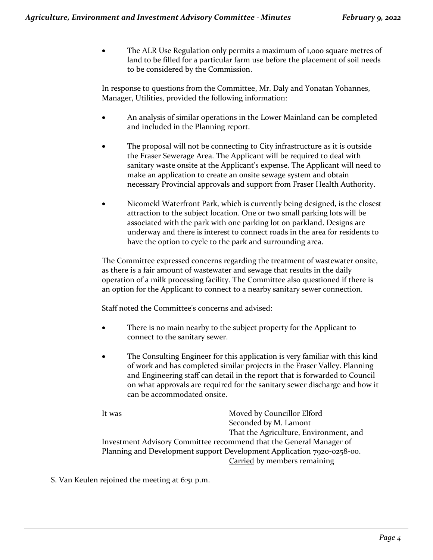The ALR Use Regulation only permits a maximum of 1,000 square metres of land to be filled for a particular farm use before the placement of soil needs to be considered by the Commission.

In response to questions from the Committee, Mr. Daly and Yonatan Yohannes, Manager, Utilities, provided the following information:

- An analysis of similar operations in the Lower Mainland can be completed and included in the Planning report.
- The proposal will not be connecting to City infrastructure as it is outside the Fraser Sewerage Area. The Applicant will be required to deal with sanitary waste onsite at the Applicant's expense. The Applicant will need to make an application to create an onsite sewage system and obtain necessary Provincial approvals and support from Fraser Health Authority.
- Nicomekl Waterfront Park, which is currently being designed, is the closest attraction to the subject location. One or two small parking lots will be associated with the park with one parking lot on parkland. Designs are underway and there is interest to connect roads in the area for residents to have the option to cycle to the park and surrounding area.

The Committee expressed concerns regarding the treatment of wastewater onsite, as there is a fair amount of wastewater and sewage that results in the daily operation of a milk processing facility. The Committee also questioned if there is an option for the Applicant to connect to a nearby sanitary sewer connection.

Staff noted the Committee's concerns and advised:

- There is no main nearby to the subject property for the Applicant to connect to the sanitary sewer.
- The Consulting Engineer for this application is very familiar with this kind of work and has completed similar projects in the Fraser Valley. Planning and Engineering staff can detail in the report that is forwarded to Council on what approvals are required for the sanitary sewer discharge and how it can be accommodated onsite.

It was **Moved by Councillor Elford** Seconded by M. Lamont That the Agriculture, Environment, and Investment Advisory Committee recommend that the General Manager of Planning and Development support Development Application 7920-0258-00. Carried by members remaining

S. Van Keulen rejoined the meeting at 6:51 p.m.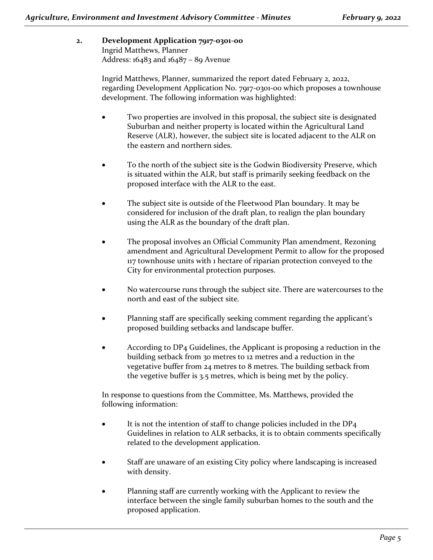# **2. Development Application 7917-0301-00** Ingrid Matthews, Planner Address: 16483 and 16487 – 89 Avenue

Ingrid Matthews, Planner, summarized the report dated February 2, 2022, regarding Development Application No. 7917-0301-00 which proposes a townhouse development. The following information was highlighted:

- Two properties are involved in this proposal, the subject site is designated Suburban and neither property is located within the Agricultural Land Reserve (ALR), however, the subject site is located adjacent to the ALR on the eastern and northern sides.
- To the north of the subject site is the Godwin Biodiversity Preserve, which is situated within the ALR, but staff is primarily seeking feedback on the proposed interface with the ALR to the east.
- The subject site is outside of the Fleetwood Plan boundary. It may be considered for inclusion of the draft plan, to realign the plan boundary using the ALR as the boundary of the draft plan.
- The proposal involves an Official Community Plan amendment, Rezoning amendment and Agricultural Development Permit to allow for the proposed 117 townhouse units with 1 hectare of riparian protection conveyed to the City for environmental protection purposes.
- No watercourse runs through the subject site. There are watercourses to the north and east of the subject site.
- Planning staff are specifically seeking comment regarding the applicant's proposed building setbacks and landscape buffer.
- According to DP4 Guidelines, the Applicant is proposing a reduction in the building setback from 30 metres to 12 metres and a reduction in the vegetative buffer from 24 metres to 8 metres. The building setback from the vegetive buffer is 3.5 metres, which is being met by the policy.

In response to questions from the Committee, Ms. Matthews, provided the following information:

- It is not the intention of staff to change policies included in the DP<sub>4</sub> Guidelines in relation to ALR setbacks, it is to obtain comments specifically related to the development application.
- Staff are unaware of an existing City policy where landscaping is increased with density.
- Planning staff are currently working with the Applicant to review the interface between the single family suburban homes to the south and the proposed application.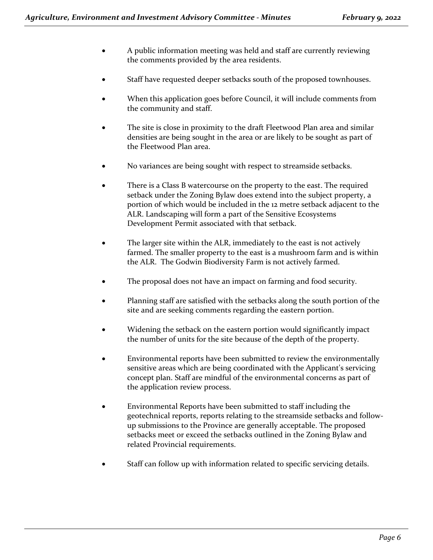- A public information meeting was held and staff are currently reviewing the comments provided by the area residents.
- Staff have requested deeper setbacks south of the proposed townhouses.
- When this application goes before Council, it will include comments from the community and staff.
- The site is close in proximity to the draft Fleetwood Plan area and similar densities are being sought in the area or are likely to be sought as part of the Fleetwood Plan area.
- No variances are being sought with respect to streamside setbacks.
- There is a Class B watercourse on the property to the east. The required setback under the Zoning Bylaw does extend into the subject property, a portion of which would be included in the 12 metre setback adjacent to the ALR. Landscaping will form a part of the Sensitive Ecosystems Development Permit associated with that setback.
- The larger site within the ALR, immediately to the east is not actively farmed. The smaller property to the east is a mushroom farm and is within the ALR. The Godwin Biodiversity Farm is not actively farmed.
- The proposal does not have an impact on farming and food security.
- Planning staff are satisfied with the setbacks along the south portion of the site and are seeking comments regarding the eastern portion.
- Widening the setback on the eastern portion would significantly impact the number of units for the site because of the depth of the property.
- Environmental reports have been submitted to review the environmentally sensitive areas which are being coordinated with the Applicant's servicing concept plan. Staff are mindful of the environmental concerns as part of the application review process.
- Environmental Reports have been submitted to staff including the geotechnical reports, reports relating to the streamside setbacks and followup submissions to the Province are generally acceptable. The proposed setbacks meet or exceed the setbacks outlined in the Zoning Bylaw and related Provincial requirements.
- Staff can follow up with information related to specific servicing details.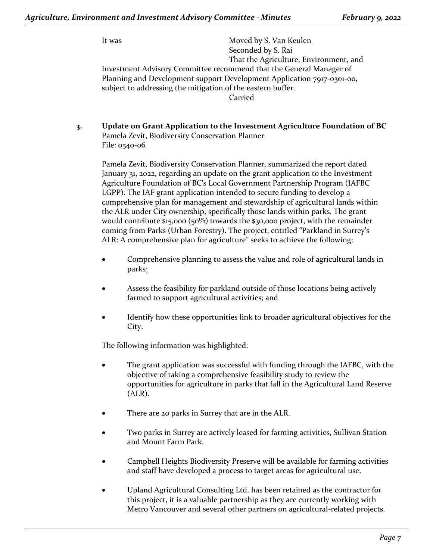It was Moved by S. Van Keulen Seconded by S. Rai That the Agriculture, Environment, and Investment Advisory Committee recommend that the General Manager of Planning and Development support Development Application 7917-0301-00, subject to addressing the mitigation of the eastern buffer. Carried

**3. Update on Grant Application to the Investment Agriculture Foundation of BC** Pamela Zevit, Biodiversity Conservation Planner File: 0540-06

Pamela Zevit, Biodiversity Conservation Planner, summarized the report dated January 31, 2022, regarding an update on the grant application to the Investment Agriculture Foundation of BC's Local Government Partnership Program (IAFBC LGPP). The IAF grant application intended to secure funding to develop a comprehensive plan for management and stewardship of agricultural lands within the ALR under City ownership, specifically those lands within parks. The grant would contribute \$15,000 (50%) towards the \$30,000 project, with the remainder coming from Parks (Urban Forestry). The project, entitled "Parkland in Surrey's ALR: A comprehensive plan for agriculture" seeks to achieve the following:

- Comprehensive planning to assess the value and role of agricultural lands in parks;
- Assess the feasibility for parkland outside of those locations being actively farmed to support agricultural activities; and
- Identify how these opportunities link to broader agricultural objectives for the City.

The following information was highlighted:

- The grant application was successful with funding through the IAFBC, with the objective of taking a comprehensive feasibility study to review the opportunities for agriculture in parks that fall in the Agricultural Land Reserve (ALR).
- There are 20 parks in Surrey that are in the ALR.
- Two parks in Surrey are actively leased for farming activities, Sullivan Station and Mount Farm Park.
- Campbell Heights Biodiversity Preserve will be available for farming activities and staff have developed a process to target areas for agricultural use.
- Upland Agricultural Consulting Ltd. has been retained as the contractor for this project, it is a valuable partnership as they are currently working with Metro Vancouver and several other partners on agricultural-related projects.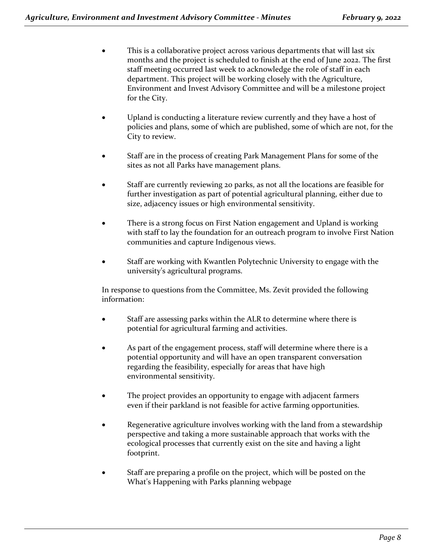- This is a collaborative project across various departments that will last six months and the project is scheduled to finish at the end of June 2022. The first staff meeting occurred last week to acknowledge the role of staff in each department. This project will be working closely with the Agriculture, Environment and Invest Advisory Committee and will be a milestone project for the City.
- Upland is conducting a literature review currently and they have a host of policies and plans, some of which are published, some of which are not, for the City to review.
- Staff are in the process of creating Park Management Plans for some of the sites as not all Parks have management plans.
- Staff are currently reviewing 20 parks, as not all the locations are feasible for further investigation as part of potential agricultural planning, either due to size, adjacency issues or high environmental sensitivity.
- There is a strong focus on First Nation engagement and Upland is working with staff to lay the foundation for an outreach program to involve First Nation communities and capture Indigenous views.
- Staff are working with Kwantlen Polytechnic University to engage with the university's agricultural programs.

In response to questions from the Committee, Ms. Zevit provided the following information:

- Staff are assessing parks within the ALR to determine where there is potential for agricultural farming and activities.
- As part of the engagement process, staff will determine where there is a potential opportunity and will have an open transparent conversation regarding the feasibility, especially for areas that have high environmental sensitivity.
- The project provides an opportunity to engage with adjacent farmers even if their parkland is not feasible for active farming opportunities.
- Regenerative agriculture involves working with the land from a stewardship perspective and taking a more sustainable approach that works with the ecological processes that currently exist on the site and having a light footprint.
- Staff are preparing a profile on the project, which will be posted on the What's Happening with Parks planning webpage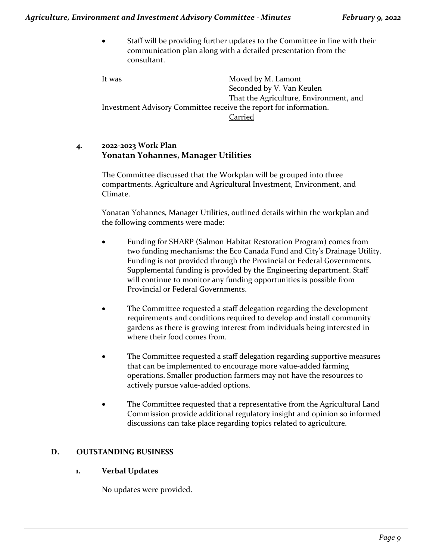• Staff will be providing further updates to the Committee in line with their communication plan along with a detailed presentation from the consultant.

It was Moved by M. Lamont Seconded by V. Van Keulen That the Agriculture, Environment, and Investment Advisory Committee receive the report for information. Carried

## **4. 2022-2023 Work Plan Yonatan Yohannes, Manager Utilities**

The Committee discussed that the Workplan will be grouped into three compartments. Agriculture and Agricultural Investment, Environment, and Climate.

Yonatan Yohannes, Manager Utilities, outlined details within the workplan and the following comments were made:

- Funding for SHARP (Salmon Habitat Restoration Program) comes from two funding mechanisms: the Eco Canada Fund and City's Drainage Utility. Funding is not provided through the Provincial or Federal Governments. Supplemental funding is provided by the Engineering department. Staff will continue to monitor any funding opportunities is possible from Provincial or Federal Governments.
- The Committee requested a staff delegation regarding the development requirements and conditions required to develop and install community gardens as there is growing interest from individuals being interested in where their food comes from.
- The Committee requested a staff delegation regarding supportive measures that can be implemented to encourage more value-added farming operations. Smaller production farmers may not have the resources to actively pursue value-added options.
- The Committee requested that a representative from the Agricultural Land Commission provide additional regulatory insight and opinion so informed discussions can take place regarding topics related to agriculture.

## **D. OUTSTANDING BUSINESS**

## **1. Verbal Updates**

No updates were provided.